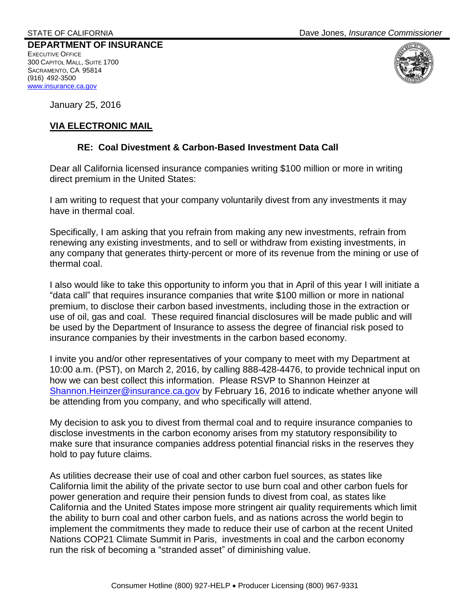**DEPARTMENT OF INSURANCE**  EXECUTIVE OFFICE 300 CAPITOL MALL, SUITE 1700 SACRAMENTO, CA 95814 (916) 492-3500 [www.insurance.ca.gov](http://www.insurance.ca.gov/)



January 25, 2016

## **VIA ELECTRONIC MAIL**

## **RE: Coal Divestment & Carbon-Based Investment Data Call**

Dear all California licensed insurance companies writing \$100 million or more in writing direct premium in the United States:

I am writing to request that your company voluntarily divest from any investments it may have in thermal coal.

Specifically, I am asking that you refrain from making any new investments, refrain from renewing any existing investments, and to sell or withdraw from existing investments, in any company that generates thirty-percent or more of its revenue from the mining or use of thermal coal.

I also would like to take this opportunity to inform you that in April of this year I will initiate a "data call" that requires insurance companies that write \$100 million or more in national premium, to disclose their carbon based investments, including those in the extraction or use of oil, gas and coal. These required financial disclosures will be made public and will be used by the Department of Insurance to assess the degree of financial risk posed to insurance companies by their investments in the carbon based economy.

I invite you and/or other representatives of your company to meet with my Department at 10:00 a.m. (PST), on March 2, 2016, by calling 888-428-4476, to provide technical input on how we can best collect this information. Please RSVP to Shannon Heinzer at [Shannon.Heinzer@insurance.ca.gov](mailto:Shannon.Heinzer@insurance.ca.gov) by February 16, 2016 to indicate whether anyone will be attending from you company, and who specifically will attend.

My decision to ask you to divest from thermal coal and to require insurance companies to disclose investments in the carbon economy arises from my statutory responsibility to make sure that insurance companies address potential financial risks in the reserves they hold to pay future claims.

As utilities decrease their use of coal and other carbon fuel sources, as states like California limit the ability of the private sector to use burn coal and other carbon fuels for power generation and require their pension funds to divest from coal, as states like California and the United States impose more stringent air quality requirements which limit the ability to burn coal and other carbon fuels, and as nations across the world begin to implement the commitments they made to reduce their use of carbon at the recent United Nations COP21 Climate Summit in Paris, investments in coal and the carbon economy run the risk of becoming a "stranded asset" of diminishing value.